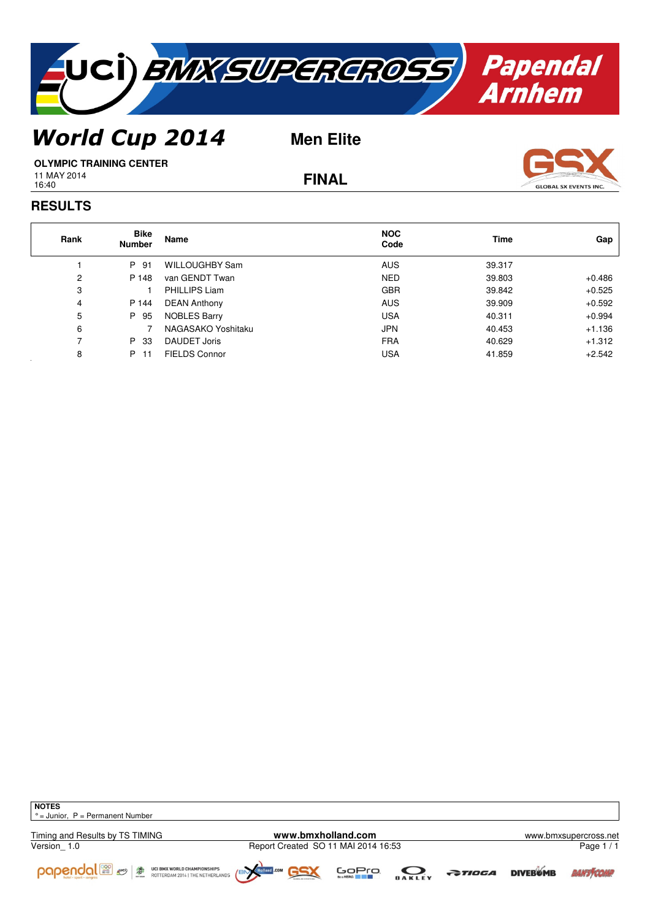

## *World Cup 2014*

**Men Elite**



16:40

**FINAL**



## **RESULTS**

| Rank | <b>Bike</b><br><b>Number</b> | Name                 | <b>NOC</b><br>Code | Time   | Gap      |
|------|------------------------------|----------------------|--------------------|--------|----------|
|      | P 91                         | WILLOUGHBY Sam       | <b>AUS</b>         | 39.317 |          |
| 2    | P 148                        | van GENDT Twan       | <b>NED</b>         | 39.803 | $+0.486$ |
| 3    |                              | <b>PHILLIPS Liam</b> | <b>GBR</b>         | 39.842 | $+0.525$ |
| 4    | P 144                        | <b>DEAN Anthony</b>  | <b>AUS</b>         | 39.909 | $+0.592$ |
| 5    | P 95                         | <b>NOBLES Barry</b>  | <b>USA</b>         | 40.311 | $+0.994$ |
| 6    |                              | NAGASAKO Yoshitaku   | <b>JPN</b>         | 40.453 | $+1.136$ |
|      | P 33                         | <b>DAUDET Joris</b>  | <b>FRA</b>         | 40.629 | $+1.312$ |
| 8    | P 11                         | <b>FIELDS Connor</b> | USA                | 41.859 | $+2.542$ |

**NOTES**  $\vert \circ$  = Junior, P = Permanent Number

Timing and Results by TS TIMING<br>
Version 1.0 **WWW.bmxholland.com www.bmxsupercross.net**<br>
Page 1/1



Page 1 / 1











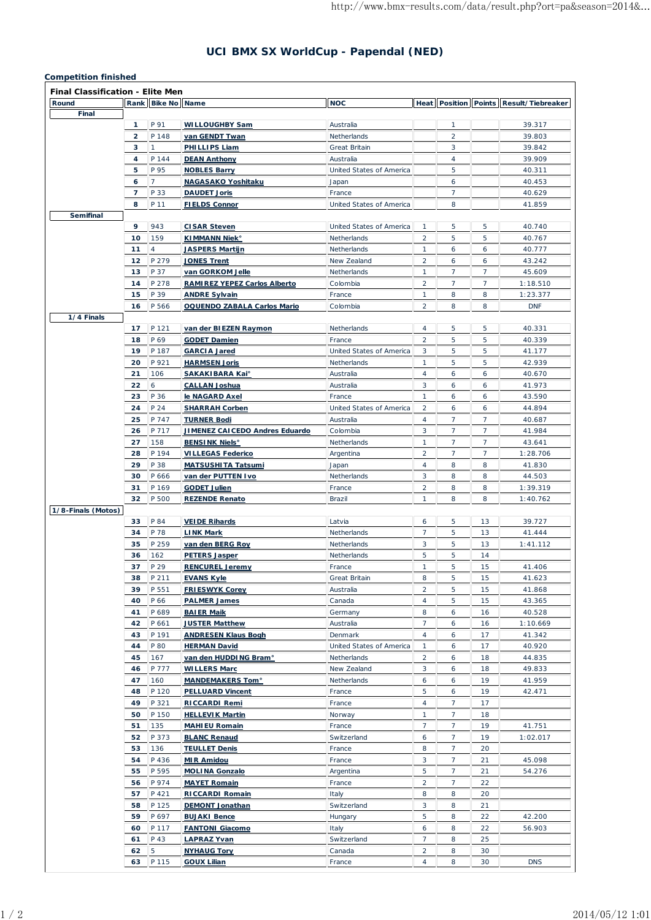## **UCI BMX SX WorldCup - Papendal (NED)**

## **Competition finished**

| <b>Final Classification - Elite Men</b> |                |                   |                                              |                          |                                  |                 |                |                                        |
|-----------------------------------------|----------------|-------------------|----------------------------------------------|--------------------------|----------------------------------|-----------------|----------------|----------------------------------------|
| Round                                   |                | Rank Bike No Name |                                              | <b>NOC</b>               |                                  |                 |                | Heat Position Points Result/Tiebreaker |
| Final                                   |                |                   |                                              |                          |                                  |                 |                |                                        |
|                                         | 1              | P 91              | <b>WILLOUGHBY Sam</b>                        | Australia                |                                  | $\mathbf{1}$    |                | 39.317                                 |
|                                         | 2              | P 148             | van GENDT Twan                               | Netherlands              |                                  | 2               |                | 39.803                                 |
|                                         | 3              | 1                 | PHILLIPS Liam                                | Great Britain            |                                  | 3               |                | 39.842                                 |
|                                         | 4              | P 144             | <b>DEAN Anthony</b>                          | Australia                |                                  | $\overline{4}$  |                | 39.909                                 |
|                                         | 5              | P 95              | <b>NOBLES Barry</b>                          | United States of America |                                  | 5               |                | 40.311                                 |
|                                         | 6              | $\overline{7}$    | <b>NAGASAKO Yoshitaku</b>                    | Japan                    |                                  | 6               |                | 40.453                                 |
|                                         | $\overline{7}$ | P 33              | <b>DAUDET Joris</b>                          | France                   |                                  | $\overline{7}$  |                | 40.629                                 |
|                                         | 8              | P 11              | <b>FIELDS Connor</b>                         | United States of America |                                  | 8               |                | 41.859                                 |
| <b>Semifinal</b>                        |                |                   |                                              |                          |                                  |                 |                |                                        |
|                                         | 9              | 943               | <b>CISAR Steven</b>                          | United States of America | $\mathbf{1}$                     | 5               | 5              | 40.740                                 |
|                                         | 10             | 159               | <b>KIMMANN Niek</b> <sup>o</sup>             | Netherlands              | $\overline{2}$                   | 5               | 5              | 40.767                                 |
|                                         | 11             | 4                 | <b>JASPERS Martijn</b>                       | Netherlands              | 1                                | 6               | 6              | 40.777                                 |
|                                         | 12             | P 279             | <b>JONES Trent</b>                           | New Zealand              | 2                                | 6               | 6              | 43.242                                 |
|                                         | 13             | P 37              | van GORKOM Jelle                             | Netherlands              | 1                                | 7               | 7              | 45.609                                 |
|                                         | 14             | P 278             | <b>RAMIREZ YEPEZ Carlos Alberto</b>          | Colombia                 | 2                                | $\overline{7}$  | $\overline{7}$ | 1:18.510                               |
|                                         | 15             | P 39              | <b>ANDRE Sylvain</b>                         | France                   | 1                                | 8               | 8              | 1:23.377                               |
|                                         | 16             | P 566             | <b>OQUENDO ZABALA Carlos Mario</b>           | Colombia                 | $\overline{2}$                   | 8               | 8              | <b>DNF</b>                             |
| 1/4 Finals                              |                |                   |                                              |                          |                                  |                 |                |                                        |
|                                         | 17             | P 121<br>P 69     | van der BIEZEN Raymon                        | Netherlands              | $\overline{4}$<br>$\overline{2}$ | 5<br>5          | 5              | 40.331                                 |
|                                         | 18             |                   | <b>GODET Damien</b>                          | France                   |                                  |                 | 5              | 40.339                                 |
|                                         | 19             | P 187             | <b>GARCIA Jared</b>                          | United States of America | 3                                | 5               | 5              | 41.177                                 |
|                                         | 20             | P 921             | <b>HARMSEN Joris</b>                         | Netherlands              | 1                                | 5               | 5              | 42.939                                 |
|                                         | 21             | 106               | <b>SAKAKIBARA Kai°</b>                       | Australia                | 4                                | 6               | 6              | 40.670                                 |
|                                         | 22             | 6                 | <b>CALLAN Joshua</b>                         | Australia                | 3                                | 6               | 6              | 41.973                                 |
|                                         | 23             | P 36              | le NAGARD Axel                               | France                   | 1                                | 6               | 6              | 43.590                                 |
|                                         | 24             | P 24              | <b>SHARRAH Corben</b>                        | United States of America | 2                                | 6               | 6              | 44.894                                 |
|                                         | 25             | P 747             | <b>TURNER Bodi</b>                           | Australia                | $\overline{4}$                   | 7               | 7              | 40.687                                 |
|                                         | 26             | P 717             | <b>JIMENEZ CAICEDO Andres Eduardo</b>        | Colombia                 | 3                                | $\overline{7}$  | $\overline{7}$ | 41.984                                 |
|                                         | 27             | 158               | <b>BENSINK Niels<sup>®</sup></b>             | Netherlands              | 1                                | $\overline{7}$  | $\overline{7}$ | 43.641                                 |
|                                         | 28             | P 194             | <b>VILLEGAS Federico</b>                     | Argentina                | 2                                | $\overline{7}$  | $\overline{7}$ | 1:28.706                               |
|                                         | 29             | P 38              | <b>MATSUSHITA Tatsumi</b>                    | Japan                    | 4                                | 8               | 8              | 41.830                                 |
|                                         | 30             | P 666             | van der PUTTEN Ivo                           | Netherlands              | 3                                | 8               | 8              | 44.503                                 |
|                                         | 31             | P 169             | <b>GODET Julien</b>                          | France                   | $\overline{2}$                   | 8               | 8              | 1:39.319                               |
|                                         | 32             | P 500             | <b>REZENDE Renato</b>                        | Brazil                   | 1                                | 8               | 8              | 1:40.762                               |
| 1/8-Finals (Motos)                      |                |                   |                                              |                          |                                  |                 |                |                                        |
|                                         | 33<br>34       | P 84<br>P 78      | <b>VEIDE Rihards</b><br><b>LINK Mark</b>     | Latvia                   | 6<br>7                           | 5<br>5          | 13<br>13       | 39.727                                 |
|                                         |                |                   |                                              | Netherlands              |                                  |                 | 13             | 41.444                                 |
|                                         | 35             | P 259             | van den BERG Roy                             | Netherlands              | 3                                | 5               |                | 1:41.112                               |
|                                         | 36             | 162               | <b>PETERS Jasper</b>                         | Netherlands              | 5                                | 5               | 14             |                                        |
|                                         | 37             | P 29              | <b>RENCUREL Jeremy</b>                       | France                   | 1                                | 5               | 15             | 41.406                                 |
|                                         | 38<br>39       | P 211<br>P 551    | <b>EVANS Kyle</b>                            | Great Britain            | 8<br>$\overline{2}$              | 5<br>5          | 15<br>15       | 41.623                                 |
|                                         | 40             | P 66              | <b>FRIESWYK Corey</b><br><b>PALMER James</b> | Australia<br>Canada      | 4                                | 5               |                | 41.868<br>43.365                       |
|                                         |                | P 689             |                                              |                          |                                  |                 | 15             |                                        |
|                                         | 41<br>42       | P 661             | <b>BAIER Maik</b><br><b>JUSTER Matthew</b>   | Germany<br>Australia     | 8<br>7                           | 6<br>6          | 16<br>16       | 40.528<br>1:10.669                     |
|                                         | 43             | P 191             | <b>ANDRESEN Klaus Bogh</b>                   | Denmark                  | $\overline{4}$                   | 6               | 17             | 41.342                                 |
|                                         | 44             | P 80              | <b>HERMAN David</b>                          | United States of America | 1                                | 6               | 17             | 40.920                                 |
|                                         | 45             | 167               | van den HUDDING Bram°                        | Netherlands              | $\overline{2}$                   | 6               | 18             | 44.835                                 |
|                                         | 46             | P 777             | <b>WILLERS Marc</b>                          | New Zealand              | 3                                | 6               | 18             | 49.833                                 |
|                                         | 47             | 160               | <b>MANDEMAKERS Tom<sup>®</sup></b>           | Netherlands              | 6                                | 6               | 19             | 41.959                                 |
|                                         | 48             | P 120             | <b>PELLUARD Vincent</b>                      | France                   | 5                                | 6               | 19             | 42.471                                 |
|                                         | 49             | P 321             | RICCARDI Remi                                | France                   | 4                                | 7               | 17             |                                        |
|                                         | 50             | P 150             | <b>HELLEVIK Martin</b>                       | Norway                   | 1                                | $7\overline{ }$ | 18             |                                        |
|                                         | 51             | 135               | <b>MAHIEU Romain</b>                         | France                   | $\overline{7}$                   | $\overline{7}$  | 19             | 41.751                                 |
|                                         | 52             | P 373             | <b>BLANC Renaud</b>                          | Switzerland              | 6                                | $\overline{7}$  | 19             | 1:02.017                               |
|                                         | 53             | 136               | <b>TEULLET Denis</b>                         | France                   | 8                                | $\overline{7}$  | 20             |                                        |
|                                         | 54             | P 436             | <b>MIR Amidou</b>                            | France                   | 3                                | $\overline{7}$  | 21             | 45.098                                 |
|                                         | 55             | P 595             | <b>MOLINA Gonzalo</b>                        | Argentina                | 5                                | $\overline{7}$  | 21             | 54.276                                 |
|                                         | 56             | P 974             | <b>MAYET Romain</b>                          | France                   | $\overline{2}$                   | $\overline{7}$  | 22             |                                        |
|                                         | 57             | P 421             | <b>RICCARDI Romain</b>                       | Italy                    | 8                                | 8               | 20             |                                        |
|                                         | 58             | P 125             | <b>DEMONT Jonathan</b>                       | Switzerland              | 3                                | 8               | 21             |                                        |
|                                         | 59             | P 697             | <b>BUJAKI Bence</b>                          | Hungary                  | 5                                | 8               | 22             | 42.200                                 |
|                                         | 60             | P 117             | <b>FANTONI Giacomo</b>                       | Italy                    | 6                                | 8               | 22             | 56.903                                 |
|                                         | 61             | P 43              | <b>LAPRAZ Yvan</b>                           | Switzerland              | 7                                | 8               | 25             |                                        |
|                                         | 62             | 5                 | <b>NYHAUG Tory</b>                           | Canada                   | $\overline{2}$                   | 8               | 30             |                                        |
|                                         | 63             | P 115             | <b>GOUX Lilian</b>                           | France                   | 4                                | 8               | 30             | <b>DNS</b>                             |
|                                         |                |                   |                                              |                          |                                  |                 |                |                                        |